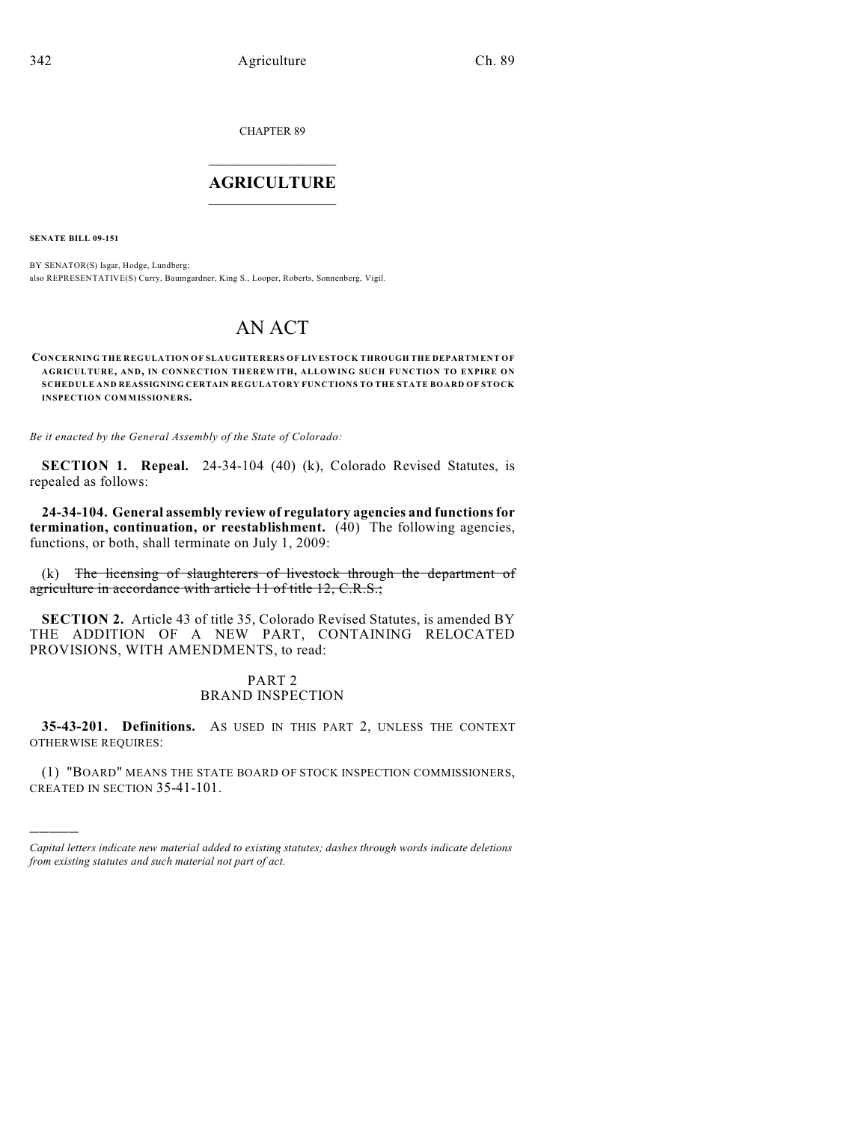CHAPTER 89

# $\overline{\phantom{a}}$  . The set of the set of the set of the set of the set of the set of the set of the set of the set of the set of the set of the set of the set of the set of the set of the set of the set of the set of the set o **AGRICULTURE**  $\_$   $\_$   $\_$   $\_$   $\_$   $\_$   $\_$   $\_$

**SENATE BILL 09-151**

)))))

BY SENATOR(S) Isgar, Hodge, Lundberg; also REPRESENTATIVE(S) Curry, Baumgardner, King S., Looper, Roberts, Sonnenberg, Vigil.

# AN ACT

**CONCERNING THE REGULATION OF SLAUGHTERERS OF LIVESTOCK THROUGH THE DEPARTMENT OF AGRICULTURE, AND, IN CONNECTION THEREWITH, ALLOWING SUCH FUNCTION TO EXPIRE ON SCHEDULE AND REASSIGNING CERTAIN REGULATORY FUNCTIONS TO THE STATE BOARD OF STOCK INSPECTION COMMISSIONERS.**

*Be it enacted by the General Assembly of the State of Colorado:*

**SECTION 1. Repeal.** 24-34-104 (40) (k), Colorado Revised Statutes, is repealed as follows:

**24-34-104. General assembly review of regulatory agencies and functions for termination, continuation, or reestablishment.** (40) The following agencies, functions, or both, shall terminate on July 1, 2009:

(k) The licensing of slaughterers of livestock through the department of agriculture in accordance with article 11 of title 12, C.R.S.;

**SECTION 2.** Article 43 of title 35, Colorado Revised Statutes, is amended BY THE ADDITION OF A NEW PART, CONTAINING RELOCATED PROVISIONS, WITH AMENDMENTS, to read:

## PART 2 BRAND INSPECTION

**35-43-201. Definitions.** AS USED IN THIS PART 2, UNLESS THE CONTEXT OTHERWISE REQUIRES:

(1) "BOARD" MEANS THE STATE BOARD OF STOCK INSPECTION COMMISSIONERS, CREATED IN SECTION 35-41-101.

*Capital letters indicate new material added to existing statutes; dashes through words indicate deletions from existing statutes and such material not part of act.*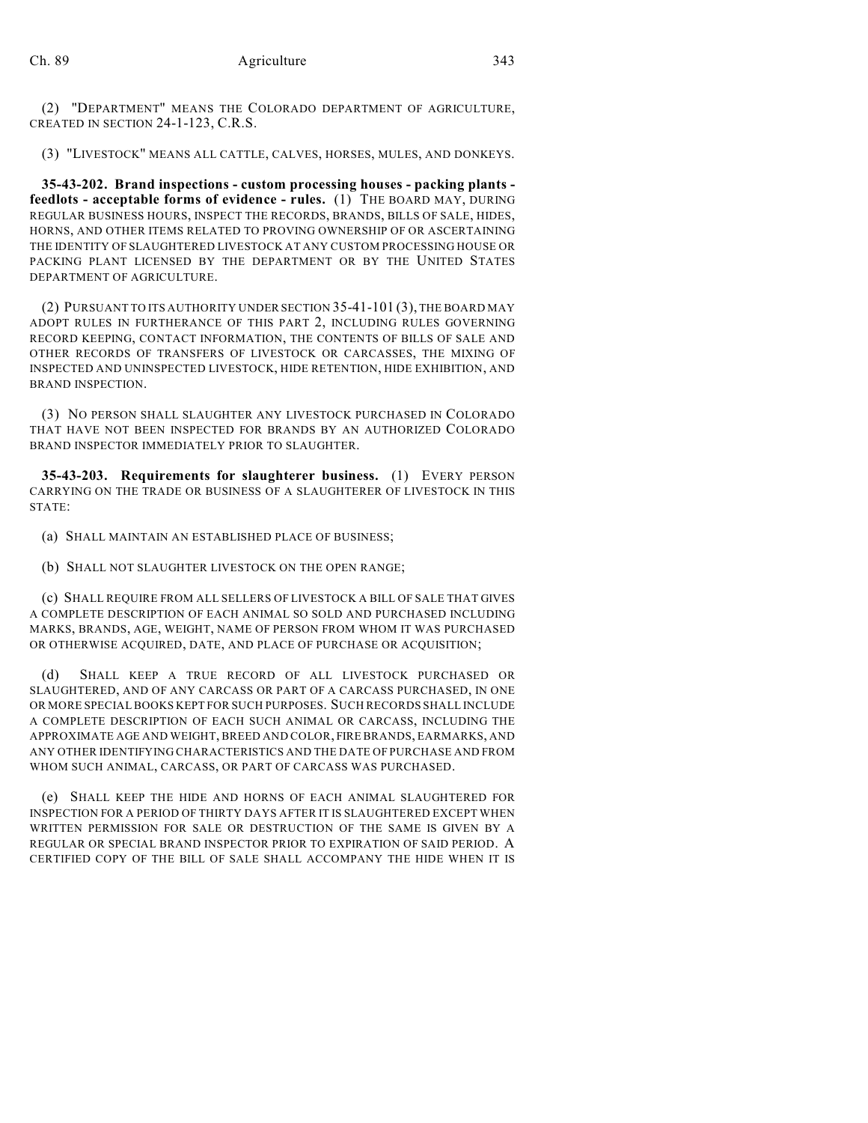(2) "DEPARTMENT" MEANS THE COLORADO DEPARTMENT OF AGRICULTURE, CREATED IN SECTION 24-1-123, C.R.S.

(3) "LIVESTOCK" MEANS ALL CATTLE, CALVES, HORSES, MULES, AND DONKEYS.

**35-43-202. Brand inspections - custom processing houses - packing plants feedlots - acceptable forms of evidence - rules.** (1) THE BOARD MAY, DURING REGULAR BUSINESS HOURS, INSPECT THE RECORDS, BRANDS, BILLS OF SALE, HIDES, HORNS, AND OTHER ITEMS RELATED TO PROVING OWNERSHIP OF OR ASCERTAINING THE IDENTITY OF SLAUGHTERED LIVESTOCK AT ANY CUSTOM PROCESSING HOUSE OR PACKING PLANT LICENSED BY THE DEPARTMENT OR BY THE UNITED STATES DEPARTMENT OF AGRICULTURE.

(2) PURSUANT TO ITS AUTHORITY UNDER SECTION 35-41-101 (3), THE BOARD MAY ADOPT RULES IN FURTHERANCE OF THIS PART 2, INCLUDING RULES GOVERNING RECORD KEEPING, CONTACT INFORMATION, THE CONTENTS OF BILLS OF SALE AND OTHER RECORDS OF TRANSFERS OF LIVESTOCK OR CARCASSES, THE MIXING OF INSPECTED AND UNINSPECTED LIVESTOCK, HIDE RETENTION, HIDE EXHIBITION, AND BRAND INSPECTION.

(3) NO PERSON SHALL SLAUGHTER ANY LIVESTOCK PURCHASED IN COLORADO THAT HAVE NOT BEEN INSPECTED FOR BRANDS BY AN AUTHORIZED COLORADO BRAND INSPECTOR IMMEDIATELY PRIOR TO SLAUGHTER.

**35-43-203. Requirements for slaughterer business.** (1) EVERY PERSON CARRYING ON THE TRADE OR BUSINESS OF A SLAUGHTERER OF LIVESTOCK IN THIS STATE:

(a) SHALL MAINTAIN AN ESTABLISHED PLACE OF BUSINESS;

(b) SHALL NOT SLAUGHTER LIVESTOCK ON THE OPEN RANGE;

(c) SHALL REQUIRE FROM ALL SELLERS OF LIVESTOCK A BILL OF SALE THAT GIVES A COMPLETE DESCRIPTION OF EACH ANIMAL SO SOLD AND PURCHASED INCLUDING MARKS, BRANDS, AGE, WEIGHT, NAME OF PERSON FROM WHOM IT WAS PURCHASED OR OTHERWISE ACQUIRED, DATE, AND PLACE OF PURCHASE OR ACQUISITION;

(d) SHALL KEEP A TRUE RECORD OF ALL LIVESTOCK PURCHASED OR SLAUGHTERED, AND OF ANY CARCASS OR PART OF A CARCASS PURCHASED, IN ONE OR MORE SPECIAL BOOKS KEPT FOR SUCH PURPOSES. SUCH RECORDS SHALL INCLUDE A COMPLETE DESCRIPTION OF EACH SUCH ANIMAL OR CARCASS, INCLUDING THE APPROXIMATE AGE AND WEIGHT, BREED AND COLOR, FIRE BRANDS, EARMARKS, AND ANY OTHER IDENTIFYING CHARACTERISTICS AND THE DATE OF PURCHASE AND FROM WHOM SUCH ANIMAL, CARCASS, OR PART OF CARCASS WAS PURCHASED.

(e) SHALL KEEP THE HIDE AND HORNS OF EACH ANIMAL SLAUGHTERED FOR INSPECTION FOR A PERIOD OF THIRTY DAYS AFTER IT IS SLAUGHTERED EXCEPT WHEN WRITTEN PERMISSION FOR SALE OR DESTRUCTION OF THE SAME IS GIVEN BY A REGULAR OR SPECIAL BRAND INSPECTOR PRIOR TO EXPIRATION OF SAID PERIOD. A CERTIFIED COPY OF THE BILL OF SALE SHALL ACCOMPANY THE HIDE WHEN IT IS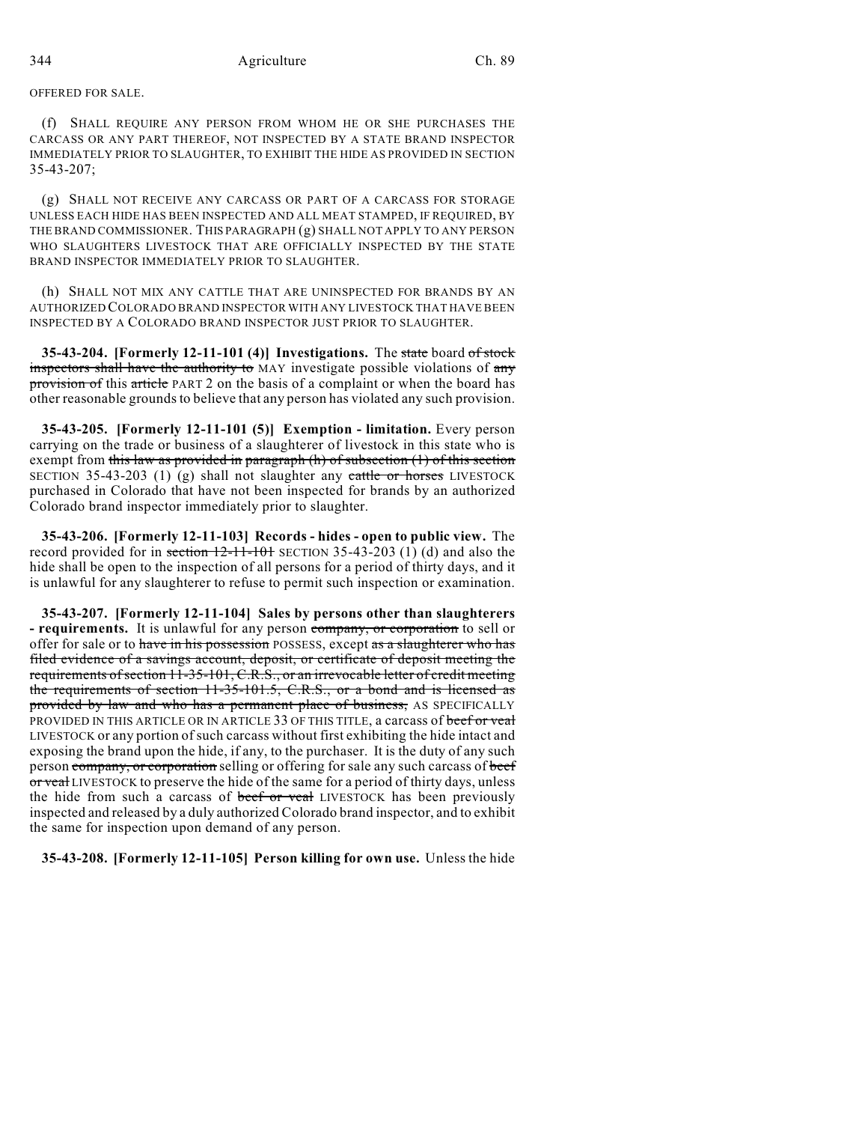OFFERED FOR SALE.

(f) SHALL REQUIRE ANY PERSON FROM WHOM HE OR SHE PURCHASES THE CARCASS OR ANY PART THEREOF, NOT INSPECTED BY A STATE BRAND INSPECTOR IMMEDIATELY PRIOR TO SLAUGHTER, TO EXHIBIT THE HIDE AS PROVIDED IN SECTION 35-43-207;

(g) SHALL NOT RECEIVE ANY CARCASS OR PART OF A CARCASS FOR STORAGE UNLESS EACH HIDE HAS BEEN INSPECTED AND ALL MEAT STAMPED, IF REQUIRED, BY THE BRAND COMMISSIONER. THIS PARAGRAPH (g) SHALL NOT APPLY TO ANY PERSON WHO SLAUGHTERS LIVESTOCK THAT ARE OFFICIALLY INSPECTED BY THE STATE BRAND INSPECTOR IMMEDIATELY PRIOR TO SLAUGHTER.

(h) SHALL NOT MIX ANY CATTLE THAT ARE UNINSPECTED FOR BRANDS BY AN AUTHORIZED COLORADO BRAND INSPECTOR WITH ANY LIVESTOCK THAT HAVE BEEN INSPECTED BY A COLORADO BRAND INSPECTOR JUST PRIOR TO SLAUGHTER.

**35-43-204. [Formerly 12-11-101 (4)] Investigations.** The state board of stock inspectors shall have the authority to MAY investigate possible violations of any provision of this article PART 2 on the basis of a complaint or when the board has other reasonable grounds to believe that any person has violated any such provision.

**35-43-205. [Formerly 12-11-101 (5)] Exemption - limitation.** Every person carrying on the trade or business of a slaughterer of livestock in this state who is exempt from this law as provided in paragraph  $(h)$  of subsection  $(1)$  of this section SECTION 35-43-203 (1) (g) shall not slaughter any  $\text{cattle or horses }$  LIVESTOCK purchased in Colorado that have not been inspected for brands by an authorized Colorado brand inspector immediately prior to slaughter.

**35-43-206. [Formerly 12-11-103] Records - hides - open to public view.** The record provided for in section  $12-11-101$  SECTION 35-43-203 (1) (d) and also the hide shall be open to the inspection of all persons for a period of thirty days, and it is unlawful for any slaughterer to refuse to permit such inspection or examination.

**35-43-207. [Formerly 12-11-104] Sales by persons other than slaughterers - requirements.** It is unlawful for any person company, or corporation to sell or offer for sale or to have in his possession POSSESS, except as a slaughterer who has filed evidence of a savings account, deposit, or certificate of deposit meeting the requirements of section 11-35-101, C.R.S., or an irrevocable letter of credit meeting the requirements of section 11-35-101.5, C.R.S., or a bond and is licensed as provided by law and who has a permanent place of business, AS SPECIFICALLY PROVIDED IN THIS ARTICLE OR IN ARTICLE 33 OF THIS TITLE, a carcass of beef or veal LIVESTOCK or any portion ofsuch carcass without first exhibiting the hide intact and exposing the brand upon the hide, if any, to the purchaser. It is the duty of any such person company, or corporation selling or offering for sale any such carcass of beef or veal LIVESTOCK to preserve the hide of the same for a period of thirty days, unless the hide from such a carcass of beef or veal LIVESTOCK has been previously inspected and released by a duly authorized Colorado brand inspector, and to exhibit the same for inspection upon demand of any person.

**35-43-208. [Formerly 12-11-105] Person killing for own use.** Unless the hide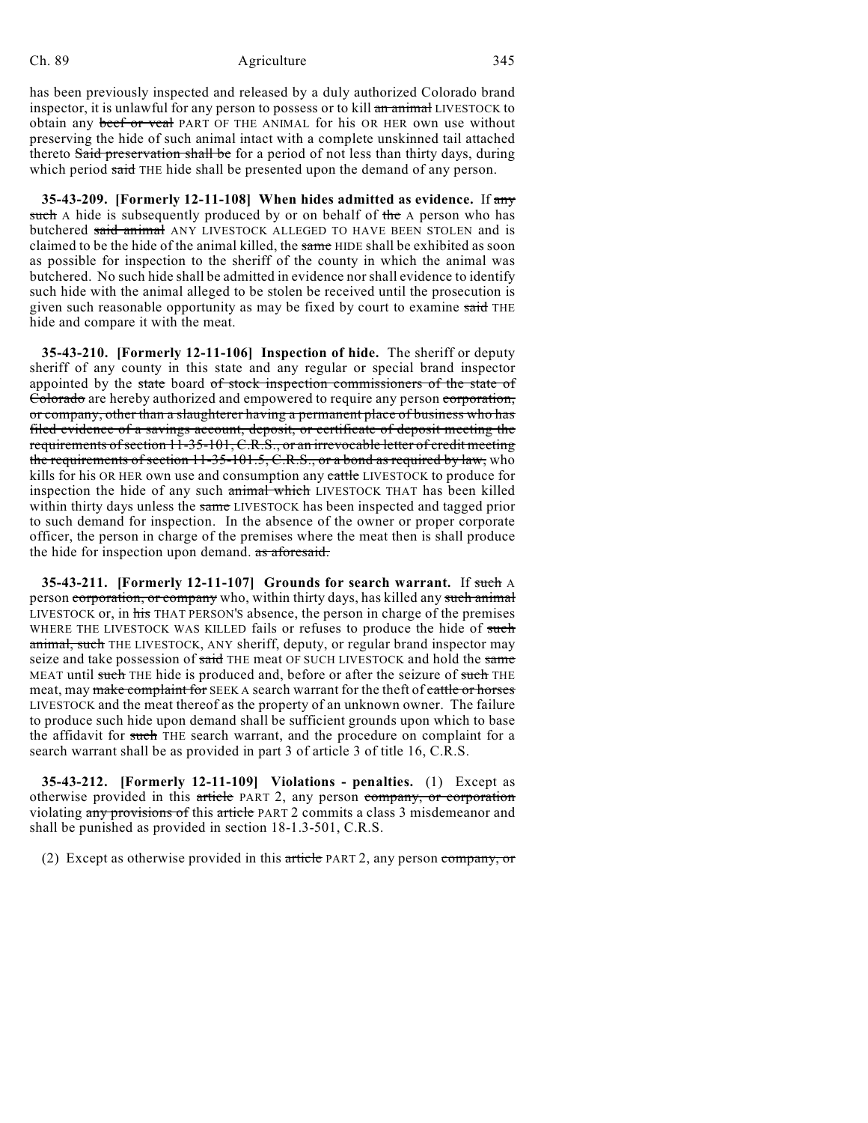#### Ch. 89 Agriculture 345

has been previously inspected and released by a duly authorized Colorado brand inspector, it is unlawful for any person to possess or to kill an animal LIVESTOCK to obtain any beef or veal PART OF THE ANIMAL for his OR HER own use without preserving the hide of such animal intact with a complete unskinned tail attached thereto Said preservation shall be for a period of not less than thirty days, during which period said THE hide shall be presented upon the demand of any person.

**35-43-209. [Formerly 12-11-108] When hides admitted as evidence.** If any such A hide is subsequently produced by or on behalf of the A person who has butchered said animal ANY LIVESTOCK ALLEGED TO HAVE BEEN STOLEN and is claimed to be the hide of the animal killed, the same HIDE shall be exhibited as soon as possible for inspection to the sheriff of the county in which the animal was butchered. No such hide shall be admitted in evidence nor shall evidence to identify such hide with the animal alleged to be stolen be received until the prosecution is given such reasonable opportunity as may be fixed by court to examine said THE hide and compare it with the meat.

**35-43-210. [Formerly 12-11-106] Inspection of hide.** The sheriff or deputy sheriff of any county in this state and any regular or special brand inspector appointed by the state board of stock inspection commissioners of the state of Colorado are hereby authorized and empowered to require any person corporation, or company, other than a slaughterer having a permanent place of business who has filed evidence of a savings account, deposit, or certificate of deposit meeting the requirements of section 11-35-101, C.R.S., or an irrevocable letter of credit meeting the requirements of section  $11-35-101.5$ , C.R.S., or a bond as required by law, who kills for his OR HER own use and consumption any cattle LIVESTOCK to produce for inspection the hide of any such animal which LIVESTOCK THAT has been killed within thirty days unless the same LIVESTOCK has been inspected and tagged prior to such demand for inspection. In the absence of the owner or proper corporate officer, the person in charge of the premises where the meat then is shall produce the hide for inspection upon demand. as aforesaid.

**35-43-211. [Formerly 12-11-107] Grounds for search warrant.** If such A person corporation, or company who, within thirty days, has killed any such animal LIVESTOCK or, in his THAT PERSON'S absence, the person in charge of the premises WHERE THE LIVESTOCK WAS KILLED fails or refuses to produce the hide of such animal, such THE LIVESTOCK, ANY sheriff, deputy, or regular brand inspector may seize and take possession of said THE meat OF SUCH LIVESTOCK and hold the same MEAT until such THE hide is produced and, before or after the seizure of such THE meat, may make complaint for SEEK A search warrant for the theft of cattle or horses LIVESTOCK and the meat thereof as the property of an unknown owner. The failure to produce such hide upon demand shall be sufficient grounds upon which to base the affidavit for such THE search warrant, and the procedure on complaint for a search warrant shall be as provided in part 3 of article 3 of title 16, C.R.S.

**35-43-212. [Formerly 12-11-109] Violations - penalties.** (1) Except as otherwise provided in this article PART 2, any person company, or corporation violating any provisions of this article PART 2 commits a class 3 misdemeanor and shall be punished as provided in section 18-1.3-501, C.R.S.

(2) Except as otherwise provided in this article PART 2, any person company, or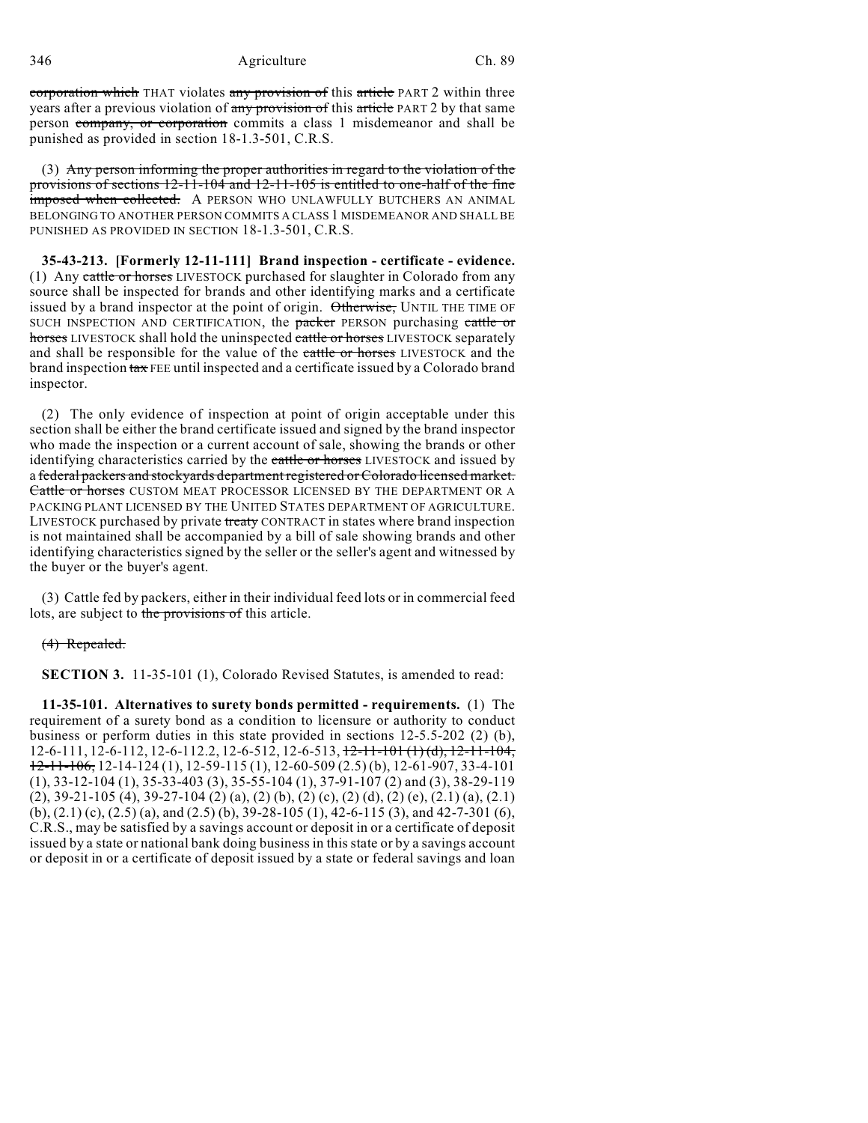346 Agriculture Ch. 89

corporation which THAT violates any provision of this article PART 2 within three years after a previous violation of any provision of this article PART 2 by that same person company, or corporation commits a class 1 misdemeanor and shall be punished as provided in section 18-1.3-501, C.R.S.

(3) Any person informing the proper authorities in regard to the violation of the provisions of sections 12-11-104 and 12-11-105 is entitled to one-half of the fine imposed when collected. A PERSON WHO UNLAWFULLY BUTCHERS AN ANIMAL BELONGING TO ANOTHER PERSON COMMITS A CLASS 1 MISDEMEANOR AND SHALL BE PUNISHED AS PROVIDED IN SECTION 18-1.3-501, C.R.S.

**35-43-213. [Formerly 12-11-111] Brand inspection - certificate - evidence.** (1) Any cattle or horses LIVESTOCK purchased for slaughter in Colorado from any source shall be inspected for brands and other identifying marks and a certificate issued by a brand inspector at the point of origin. Otherwise, UNTIL THE TIME OF SUCH INSPECTION AND CERTIFICATION, the packer PERSON purchasing cattle or horses LIVESTOCK shall hold the uninspected cattle or horses LIVESTOCK separately and shall be responsible for the value of the eattle or horses LIVESTOCK and the brand inspection tax FEE until inspected and a certificate issued by a Colorado brand inspector.

(2) The only evidence of inspection at point of origin acceptable under this section shall be either the brand certificate issued and signed by the brand inspector who made the inspection or a current account of sale, showing the brands or other identifying characteristics carried by the cattle or horses LIVESTOCK and issued by a federal packers and stockyards department registered or Colorado licensed market. Cattle or horses CUSTOM MEAT PROCESSOR LICENSED BY THE DEPARTMENT OR A PACKING PLANT LICENSED BY THE UNITED STATES DEPARTMENT OF AGRICULTURE. LIVESTOCK purchased by private treaty CONTRACT in states where brand inspection is not maintained shall be accompanied by a bill of sale showing brands and other identifying characteristics signed by the seller or the seller's agent and witnessed by the buyer or the buyer's agent.

(3) Cattle fed by packers, either in their individual feed lots or in commercial feed lots, are subject to the provisions of this article.

(4) Repealed.

**SECTION 3.** 11-35-101 (1), Colorado Revised Statutes, is amended to read:

**11-35-101. Alternatives to surety bonds permitted - requirements.** (1) The requirement of a surety bond as a condition to licensure or authority to conduct business or perform duties in this state provided in sections 12-5.5-202 (2) (b),  $12-6-111$ ,  $12-6-112$ ,  $12-6-112.2$ ,  $12-6-512$ ,  $12-6-513$ ,  $12-11-101$  (1) (d),  $12-11-104$ ,  $12-11-106$ ,  $12-14-124$  (1),  $12-59-115$  (1),  $12-60-509$  (2.5) (b),  $12-61-907$ ,  $33-4-101$ (1), 33-12-104 (1), 35-33-403 (3), 35-55-104 (1), 37-91-107 (2) and (3), 38-29-119 (2), 39-21-105 (4), 39-27-104 (2) (a), (2) (b), (2) (c), (2) (d), (2) (e), (2.1) (a), (2.1) (b), (2.1) (c), (2.5) (a), and (2.5) (b), 39-28-105 (1), 42-6-115 (3), and 42-7-301 (6), C.R.S., may be satisfied by a savings account or deposit in or a certificate of deposit issued by a state or national bank doing business in this state or by a savings account or deposit in or a certificate of deposit issued by a state or federal savings and loan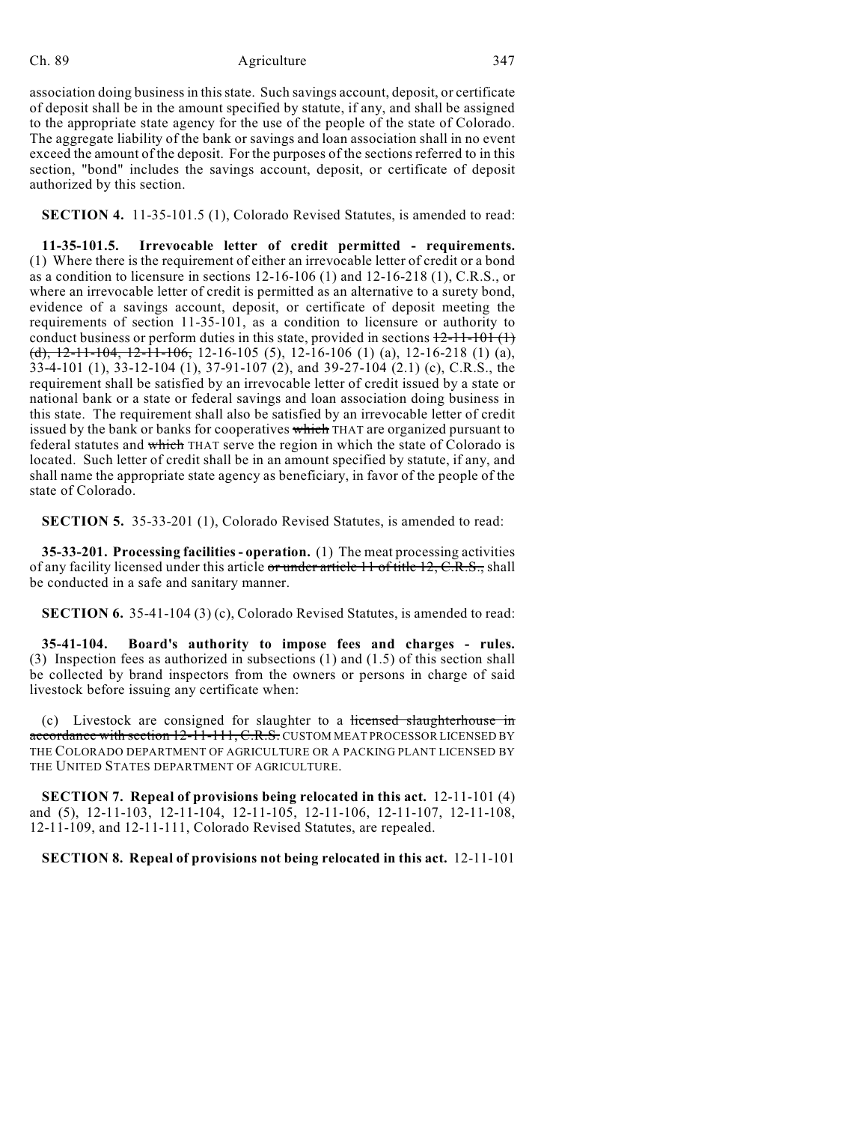#### Ch. 89 Agriculture 347

association doing business in this state. Such savings account, deposit, or certificate of deposit shall be in the amount specified by statute, if any, and shall be assigned to the appropriate state agency for the use of the people of the state of Colorado. The aggregate liability of the bank or savings and loan association shall in no event exceed the amount of the deposit. For the purposes of the sections referred to in this section, "bond" includes the savings account, deposit, or certificate of deposit authorized by this section.

**SECTION 4.** 11-35-101.5 (1), Colorado Revised Statutes, is amended to read:

**11-35-101.5. Irrevocable letter of credit permitted - requirements.** (1) Where there is the requirement of either an irrevocable letter of credit or a bond as a condition to licensure in sections 12-16-106 (1) and 12-16-218 (1), C.R.S., or where an irrevocable letter of credit is permitted as an alternative to a surety bond, evidence of a savings account, deposit, or certificate of deposit meeting the requirements of section 11-35-101, as a condition to licensure or authority to conduct business or perform duties in this state, provided in sections  $12-11-101$  (1) (d),  $12-11-104$ ,  $12-11-106$ ,  $12-16-105$  (5),  $12-16-106$  (1) (a),  $12-16-218$  (1) (a), 33-4-101 (1), 33-12-104 (1), 37-91-107 (2), and 39-27-104 (2.1) (c), C.R.S., the requirement shall be satisfied by an irrevocable letter of credit issued by a state or national bank or a state or federal savings and loan association doing business in this state. The requirement shall also be satisfied by an irrevocable letter of credit issued by the bank or banks for cooperatives which THAT are organized pursuant to federal statutes and which THAT serve the region in which the state of Colorado is located. Such letter of credit shall be in an amount specified by statute, if any, and shall name the appropriate state agency as beneficiary, in favor of the people of the state of Colorado.

**SECTION 5.** 35-33-201 (1), Colorado Revised Statutes, is amended to read:

**35-33-201. Processing facilities - operation.** (1) The meat processing activities of any facility licensed under this article or under article 11 of title 12, C.R.S., shall be conducted in a safe and sanitary manner.

**SECTION 6.** 35-41-104 (3) (c), Colorado Revised Statutes, is amended to read:

**35-41-104. Board's authority to impose fees and charges - rules.** (3) Inspection fees as authorized in subsections (1) and (1.5) of this section shall be collected by brand inspectors from the owners or persons in charge of said livestock before issuing any certificate when:

(c) Livestock are consigned for slaughter to a licensed slaughterhouse in accordance with section 12-11-111, C.R.S. CUSTOM MEAT PROCESSOR LICENSED BY THE COLORADO DEPARTMENT OF AGRICULTURE OR A PACKING PLANT LICENSED BY THE UNITED STATES DEPARTMENT OF AGRICULTURE.

**SECTION 7. Repeal of provisions being relocated in this act.** 12-11-101 (4) and (5), 12-11-103, 12-11-104, 12-11-105, 12-11-106, 12-11-107, 12-11-108, 12-11-109, and 12-11-111, Colorado Revised Statutes, are repealed.

## **SECTION 8. Repeal of provisions not being relocated in this act.** 12-11-101